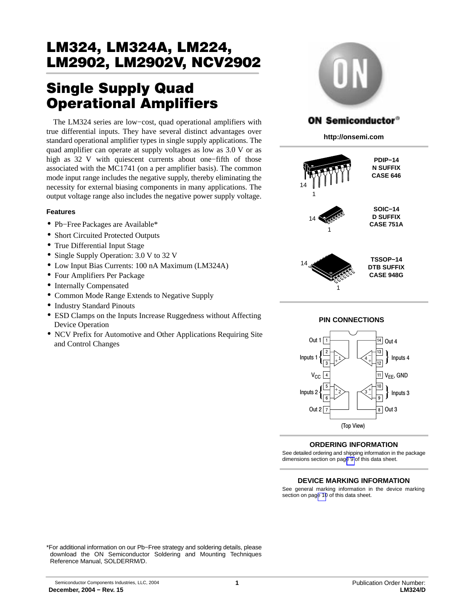# Single Supply Quad Operational Amplifiers

The LM324 series are low−cost, quad operational amplifiers with true differential inputs. They have several distinct advantages over standard operational amplifier types in single supply applications. The quad amplifier can operate at supply voltages as low as 3.0 V or as high as 32 V with quiescent currents about one−fifth of those associated with the MC1741 (on a per amplifier basis). The common mode input range includes the negative supply, thereby eliminating the necessity for external biasing components in many applications. The output voltage range also includes the negative power supply voltage.

## **Features**

- Pb−Free Packages are Available\*
- Short Circuited Protected Outputs
- True Differential Input Stage
- Single Supply Operation: 3.0 V to 32 V
- Low Input Bias Currents: 100 nA Maximum (LM324A)
- Four Amplifiers Per Package
- Internally Compensated
- Common Mode Range Extends to Negative Supply
- Industry Standard Pinouts
- ESD Clamps on the Inputs Increase Ruggedness without Affecting Device Operation
- NCV Prefix for Automotive and Other Applications Requiring Site and Control Changes



## **ON Semiconductor®**

**http://onsemi.com**





#### **ORDERING INFORMATION**

See detailed ordering and shipping information in the package dimensions section on pag[e 9](#page-8-0) of this data sheet.

#### **DEVICE MARKING INFORMATION**

See general marking information in the device marking section on pag[e 10](#page-9-0) of this data sheet.

\*For additional information on our Pb−Free strategy and soldering details, please download the ON Semiconductor Soldering and Mounting Techniques Reference Manual, SOLDERRM/D.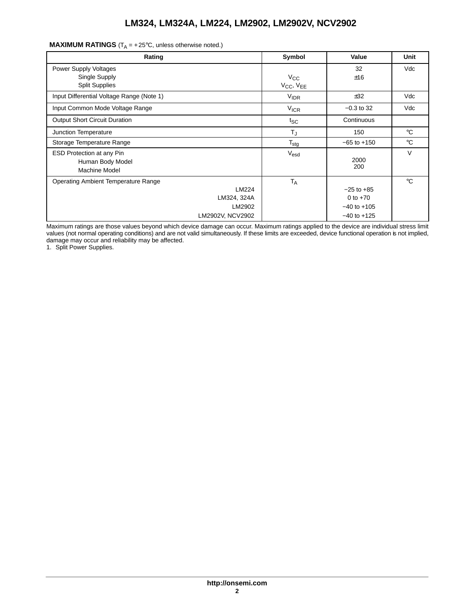| Rating                                                                                    | Symbol                              | Value                                                              | Unit         |
|-------------------------------------------------------------------------------------------|-------------------------------------|--------------------------------------------------------------------|--------------|
| Power Supply Voltages<br>Single Supply<br><b>Split Supplies</b>                           | $V_{\rm CC}$<br>$V_{CC}$ , $V_{EE}$ | 32<br>±16                                                          | Vdc          |
| Input Differential Voltage Range (Note 1)                                                 | <b>VIDR</b>                         | ±32                                                                | Vdc          |
| Input Common Mode Voltage Range                                                           | <b>V<sub>ICR</sub></b>              | $-0.3$ to 32                                                       | Vdc          |
| <b>Output Short Circuit Duration</b>                                                      | $t_{SC}$                            | Continuous                                                         |              |
| Junction Temperature                                                                      | $T_{\text{J}}$                      | 150                                                                | $^{\circ}$ C |
| Storage Temperature Range                                                                 | $T_{\text{stg}}$                    | $-65$ to $+150$                                                    | $^{\circ}$ C |
| ESD Protection at any Pin<br>Human Body Model<br>Machine Model                            | $V_{\text{esd}}$                    | 2000<br>200                                                        | $\vee$       |
| Operating Ambient Temperature Range<br>LM224<br>LM324, 324A<br>LM2902<br>LM2902V, NCV2902 | <b>TA</b>                           | $-25$ to $+85$<br>0 to $+70$<br>$-40$ to $+105$<br>$-40$ to $+125$ | $^{\circ}C$  |

**MAXIMUM RATINGS**  $(T_A = +25^{\circ}C,$  unless otherwise noted.)

Maximum ratings are those values beyond which device damage can occur. Maximum ratings applied to the device are individual stress limit values (not normal operating conditions) and are not valid simultaneously. If these limits are exceeded, device functional operation is not implied, damage may occur and reliability may be affected.

1. Split Power Supplies.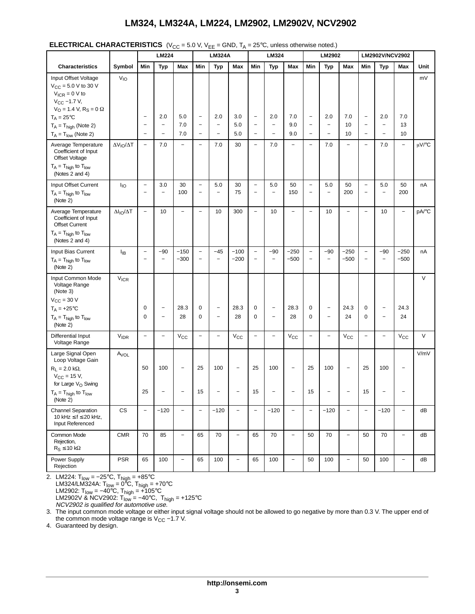|  | <b>ELECTRICAL CHARACTERISTICS</b> ( $V_{CC}$ = 5.0 V, $V_{EE}$ = GND, $T_A$ = 25°C, unless otherwise noted.) |  |
|--|--------------------------------------------------------------------------------------------------------------|--|
|--|--------------------------------------------------------------------------------------------------------------|--|

|                                                                                                                                                                                                                                |                          |                                                                                  | LM224                                                       |                                               |                                                                    | <b>LM324A</b>                                     |                                                      |                                                                           | LM324                                         |                                               |                                                                                  | LM2902                                                      |                          |                                                                        | LM2902V/NCV2902                                             |                          |            |
|--------------------------------------------------------------------------------------------------------------------------------------------------------------------------------------------------------------------------------|--------------------------|----------------------------------------------------------------------------------|-------------------------------------------------------------|-----------------------------------------------|--------------------------------------------------------------------|---------------------------------------------------|------------------------------------------------------|---------------------------------------------------------------------------|-----------------------------------------------|-----------------------------------------------|----------------------------------------------------------------------------------|-------------------------------------------------------------|--------------------------|------------------------------------------------------------------------|-------------------------------------------------------------|--------------------------|------------|
| <b>Characteristics</b>                                                                                                                                                                                                         | Symbol                   | Min                                                                              | Typ                                                         | Max                                           | Min                                                                | <b>Typ</b>                                        | Max                                                  | Min                                                                       | <b>Typ</b>                                    | Max                                           | Min                                                                              | Typ                                                         | Max                      | Min                                                                    | Typ                                                         | Max                      | Unit       |
| Input Offset Voltage<br>$V_{CC} = 5.0 V to 30 V$<br>$V_{ICR} = 0 V to$<br>$V_{CC}$ -1.7 V,<br>$V_{\rm O}$ = 1.4 V, R <sub>S</sub> = 0 $\Omega$<br>$T_A = 25^{\circ}C$<br>$T_A = T_{high}$ (Note 2)<br>$T_A = T_{low}$ (Note 2) | $V_{IO}$                 | $\overline{\phantom{0}}$<br>$\overline{\phantom{0}}$<br>$\overline{\phantom{0}}$ | 2.0<br>$\overline{\phantom{0}}$<br>$\overline{\phantom{0}}$ | 5.0<br>7.0<br>7.0                             | $\qquad \qquad -$<br>$\qquad \qquad -$<br>$\overline{\phantom{a}}$ | 2.0<br>$\overline{\phantom{0}}$<br>$\overline{a}$ | 3.0<br>5.0<br>5.0                                    | $\overline{\phantom{a}}$<br>$\qquad \qquad -$<br>$\overline{\phantom{a}}$ | 2.0<br>$\qquad \qquad -$<br>$\overline{a}$    | 7.0<br>9.0<br>9.0                             | $\overline{\phantom{a}}$<br>$\overline{\phantom{a}}$<br>$\overline{\phantom{0}}$ | 2.0<br>$\overline{\phantom{a}}$<br>$\overline{\phantom{0}}$ | 7.0<br>10<br>10          | $\overline{\phantom{a}}$<br>$\overline{\phantom{0}}$<br>$\overline{a}$ | 2.0<br>$\overline{\phantom{a}}$<br>$\overline{\phantom{0}}$ | 7.0<br>13<br>10          | mV         |
| Average Temperature<br>Coefficient of Input<br>Offset Voltage<br>$T_A = T_{high}$ to $T_{low}$<br>(Notes 2 and 4)                                                                                                              | $\Delta V_{IO}/\Delta T$ | $\qquad \qquad -$                                                                | 7.0                                                         | $\overline{a}$                                | $\qquad \qquad -$                                                  | 7.0                                               | 30                                                   | $\bar{ }$                                                                 | 7.0                                           | $\overline{\phantom{0}}$                      | $\overline{\phantom{0}}$                                                         | 7.0                                                         | $\overline{\phantom{0}}$ | $\overline{a}$                                                         | 7.0                                                         | $\overline{a}$           | $\mu$ V/°C |
| Input Offset Current<br>$T_A = T_{high}$ to $T_{low}$<br>(Note 2)                                                                                                                                                              | $I_{IO}$                 | $\qquad \qquad -$<br>$\overline{a}$                                              | 3.0<br>$\overline{\phantom{0}}$                             | 30<br>100                                     | $\overline{\phantom{a}}$<br>$\overline{\phantom{0}}$               | 5.0<br>-                                          | 30<br>75                                             | $\overline{\phantom{0}}$<br>$\qquad \qquad -$                             | 5.0<br>$\qquad \qquad -$                      | 50<br>150                                     | $\overline{\phantom{a}}$<br>$\overline{\phantom{0}}$                             | 5.0<br>$\qquad \qquad -$                                    | 50<br>200                | $\overline{\phantom{0}}$<br>$\overline{\phantom{0}}$                   | 5.0<br>-                                                    | 50<br>200                | nA         |
| Average Temperature<br>Coefficient of Input<br><b>Offset Current</b><br>$T_A = T_{high}$ to $T_{low}$<br>(Notes 2 and 4)                                                                                                       | $\Delta I_{IO}/\Delta T$ | $\overline{\phantom{0}}$                                                         | 10                                                          | $\overline{\phantom{0}}$                      | $\qquad \qquad -$                                                  | 10                                                | 300                                                  | $\overline{\phantom{0}}$                                                  | 10                                            | $\overline{\phantom{0}}$                      | $\overline{\phantom{0}}$                                                         | 10                                                          | $\overline{\phantom{0}}$ | $\overline{a}$                                                         | 10                                                          | $\overline{\phantom{0}}$ | pA/°C      |
| Input Bias Current<br>$T_A = T_{high}$ to $T_{low}$<br>(Note 2)                                                                                                                                                                | $I_{IB}$                 | $\qquad \qquad -$<br>$\qquad \qquad -$                                           | $-90$<br>$\overline{a}$                                     | $-150$<br>$-300$                              | $\qquad \qquad -$<br>$\qquad \qquad -$                             | $-45$<br>$\overline{\phantom{0}}$                 | $-100$<br>$-200$                                     | $\qquad \qquad -$<br>$\overline{\phantom{a}}$                             | $-90$<br>$\overline{\phantom{0}}$             | $-250$<br>$-500$                              | $\overline{\phantom{a}}$<br>$\qquad \qquad -$                                    | $-90$<br>$\overline{a}$                                     | $-250$<br>$-500$         | $\overline{\phantom{0}}$<br>$\qquad \qquad -$                          | $-90$<br>$\overline{\phantom{0}}$                           | $-250$<br>$-500$         | nA         |
| Input Common Mode<br>Voltage Range<br>(Note 3)<br>$V_{\text{CC}}$ = 30 V<br>$T_A = +25$ °C<br>$T_A = T_{high}$ to $T_{low}$<br>(Note 2)                                                                                        | <b>V<sub>ICR</sub></b>   | 0<br>0                                                                           | $\qquad \qquad -$<br>$\qquad \qquad -$                      | 28.3<br>28                                    | $\mathbf 0$<br>$\mathbf 0$                                         | $\overline{\phantom{0}}$<br>$\qquad \qquad -$     | 28.3<br>28                                           | 0<br>0                                                                    | $\overline{\phantom{0}}$<br>$\qquad \qquad -$ | 28.3<br>28                                    | 0<br>0                                                                           | $\qquad \qquad -$<br>$\overline{\phantom{0}}$               | 24.3<br>24               | 0<br>0                                                                 | $\overline{\phantom{0}}$<br>$\overline{\phantom{0}}$        | 24.3<br>24               | $\vee$     |
| Differential Input<br>Voltage Range                                                                                                                                                                                            | <b>VIDR</b>              | $\qquad \qquad -$                                                                | $\overline{\phantom{0}}$                                    | $V_{\rm CC}$                                  | $\overline{a}$                                                     | $\overline{\phantom{0}}$                          | $V_{\rm CC}$                                         | $\overline{\phantom{0}}$                                                  | $\overline{\phantom{0}}$                      | $V_{\rm CC}$                                  | $\overline{a}$                                                                   | $\qquad \qquad -$                                           | $V_{\rm CC}$             | $\overline{a}$                                                         | $\overline{a}$                                              | $V_{\rm CC}$             | $\vee$     |
| Large Signal Open<br>Loop Voltage Gain<br>$R_L$ = 2.0 k $\Omega$ ,<br>$V_{CC}$ = 15 V,<br>for Large V <sub>O</sub> Swing<br>$T_A = T_{high}$ to $T_{low}$<br>(Note 2)                                                          | Avol                     | 50<br>25                                                                         | 100<br>-                                                    | $\qquad \qquad -$<br>$\overline{\phantom{0}}$ | 25<br>15                                                           | 100<br>$\overline{\phantom{0}}$                   | $\overline{\phantom{a}}$<br>$\overline{\phantom{0}}$ | 25<br>15                                                                  | 100                                           | $\qquad \qquad -$<br>$\overline{\phantom{0}}$ | 25<br>15                                                                         | 100<br>$\overline{a}$                                       | $\overline{\phantom{a}}$ | 25<br>15                                                               | 100                                                         | <b>—</b>                 | V/mV       |
| <b>Channel Separation</b><br>10 kHz ≤ f ≤ 20 kHz,<br>Input Referenced                                                                                                                                                          | $\mathsf{CS}\phantom{0}$ | $\overline{\phantom{0}}$                                                         | $-120$                                                      | $\overline{a}$                                | $\overline{a}$                                                     | $-120$                                            | $\overline{\phantom{0}}$                             | $\overline{a}$                                                            | $-120$                                        | $\overline{\phantom{0}}$                      | $\overline{\phantom{0}}$                                                         | $-120$                                                      | $\overline{a}$           | $\overline{a}$                                                         | $-120$                                                      | $\overline{a}$           | dB         |
| Common Mode<br>Rejection,<br>$R_S \leq 10 k\Omega$                                                                                                                                                                             | CMR                      | 70                                                                               | 85                                                          | $\overline{\phantom{0}}$                      | 65                                                                 | 70                                                | $\qquad \qquad -$                                    | 65                                                                        | 70                                            | $\overline{\phantom{0}}$                      | 50                                                                               | 70                                                          | $\qquad \qquad -$        | 50                                                                     | 70                                                          | $\overline{\phantom{0}}$ | dB         |
| Power Supply<br>Rejection                                                                                                                                                                                                      | <b>PSR</b>               | 65                                                                               | 100                                                         | $\overline{\phantom{0}}$                      | 65                                                                 | 100                                               | $\qquad \qquad -$                                    | 65                                                                        | 100                                           | $\overline{\phantom{0}}$                      | 50                                                                               | 100                                                         | $\qquad \qquad -$        | 50                                                                     | 100                                                         | $\qquad \qquad -$        | dB         |

2. LM224: T<sub>low</sub> = –25°C, T<sub>high</sub> = +85°C LM324/LM324A: T<sub>low</sub> = 0<sup>8</sup>C, T<sub>high</sub> = +70°C LM2902: T<sub>low</sub> = –40°C, T<sub>high</sub> = +105°C LM2902V & NCV2902: T<sub>low</sub> = –40°C, T<sub>high</sub> = +125°C NCV2902 is qualified for automotive use.

3. The input common mode voltage or either input signal voltage should not be allowed to go negative by more than 0.3 V. The upper end of the common mode voltage range is  $V_{CC}$  –1.7 V.

4. Guaranteed by design.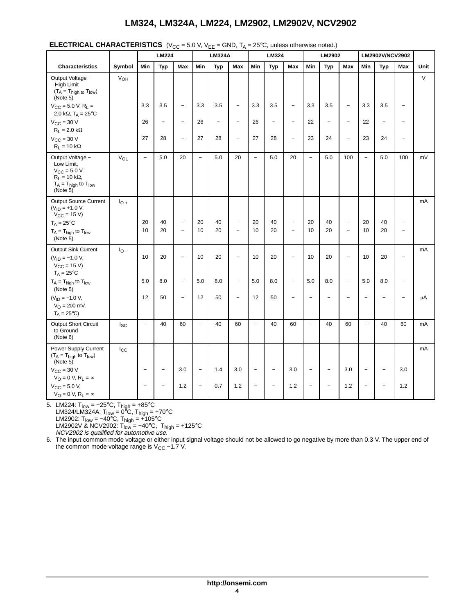|                                                                                                                                  |                 |                   | ヽ・ぃぃ<br>LM224            | - - -                                         | ., .                     | ᄃ<br><b>LM324A</b>       | , . <sub>8</sub>                              |                          | LM324                    |                          |                          | LM2902                   |                                                      |                          | LM2902V/NCV2902          |                                                      |        |
|----------------------------------------------------------------------------------------------------------------------------------|-----------------|-------------------|--------------------------|-----------------------------------------------|--------------------------|--------------------------|-----------------------------------------------|--------------------------|--------------------------|--------------------------|--------------------------|--------------------------|------------------------------------------------------|--------------------------|--------------------------|------------------------------------------------------|--------|
| <b>Characteristics</b>                                                                                                           | Symbol          | Min               | Typ                      | <b>Max</b>                                    | Min                      | Typ                      | <b>Max</b>                                    | Min                      | Typ                      | Max                      | Min                      | Typ                      | <b>Max</b>                                           | Min                      | Typ                      | Max                                                  | Unit   |
| Output Voltage-<br>High Limit<br>$(T_A = T_{high to} T_{low})$<br>(Note 5)                                                       | V <sub>OH</sub> |                   |                          |                                               |                          |                          |                                               |                          |                          |                          |                          |                          |                                                      |                          |                          |                                                      | $\vee$ |
| $V_{CC}$ = 5.0 V, R <sub>L</sub> =<br>2.0 k $\Omega$ , T <sub>A</sub> = 25°C                                                     |                 | 3.3               | 3.5                      | $\qquad \qquad -$                             | 3.3                      | 3.5                      | $\qquad \qquad -$                             | 3.3                      | 3.5                      | $\overline{\phantom{a}}$ | 3.3                      | 3.5                      | $\qquad \qquad -$                                    | 3.3                      | 3.5                      | $\overline{\phantom{a}}$                             |        |
| $V_{CC}$ = 30 V<br>$R_L = 2.0 k\Omega$                                                                                           |                 | 26                | $\qquad \qquad -$        | $\overline{\phantom{0}}$                      | 26                       | $\overline{\phantom{0}}$ | $\equiv$                                      | 26                       | $\overline{\phantom{0}}$ | $\overline{\phantom{0}}$ | 22                       | $\overline{\phantom{a}}$ | $\overline{\phantom{0}}$                             | 22                       |                          | $\overline{\phantom{0}}$                             |        |
| $V_{CC}$ = 30 V<br>$R_L = 10 k\Omega$                                                                                            |                 | 27                | 28                       | $\overline{\phantom{a}}$                      | 27                       | 28                       | $\overline{\phantom{a}}$                      | 27                       | 28                       | $\overline{\phantom{0}}$ | 23                       | 24                       | $\qquad \qquad -$                                    | 23                       | 24                       | $\overline{\phantom{a}}$                             |        |
| Output Voltage -<br>Low Limit,<br>$V_{\rm CC} = 5.0 V$ ,<br>$R_L$ = 10 k $\Omega$ ,<br>$T_A = T_{high}$ to $T_{low}$<br>(Note 5) | V <sub>OL</sub> | $\qquad \qquad -$ | $5.0\,$                  | 20                                            | $\overline{a}$           | 5.0                      | 20                                            | $\overline{\phantom{0}}$ | 5.0                      | 20                       | $\overline{\phantom{m}}$ | 5.0                      | 100                                                  | $\overline{a}$           | 5.0                      | 100                                                  | mV     |
| <b>Output Source Current</b><br>$(V_{ID} = +1.0 V,$<br>$V_{CC} = 15 V$                                                           | $I_{O+}$        |                   |                          |                                               |                          |                          |                                               |                          |                          |                          |                          |                          |                                                      |                          |                          |                                                      | mA     |
| $T_A = 25^{\circ}C$<br>$T_A = T_{high}$ to $T_{low}$<br>(Note 5)                                                                 |                 | 20<br>10          | 40<br>20                 | $\overline{\phantom{a}}$<br>$\qquad \qquad -$ | 20<br>10                 | 40<br>20                 | $\qquad \qquad -$<br>$\overline{\phantom{0}}$ | 20<br>10                 | 40<br>20                 | $\qquad \qquad -$        | 20<br>10                 | 40<br>20                 | $\overline{\phantom{a}}$<br>$\overline{\phantom{0}}$ | 20<br>10                 | 40<br>20                 | $\overline{\phantom{a}}$<br>$\overline{\phantom{0}}$ |        |
| Output Sink Current<br>$(V_{ID} = -1.0 V,$<br>$V_{CC} = 15 V$<br>$T_A = 25^{\circ}C$                                             | $I_{\rm O}$ –   | 10                | 20                       | $\qquad \qquad -$                             | 10                       | 20                       | $\equiv$                                      | 10                       | 20                       | $\overline{\phantom{a}}$ | 10                       | 20                       | $\overline{\phantom{0}}$                             | 10                       | 20                       | $\overline{\phantom{a}}$                             | mA     |
| $T_A = T_{high}$ to $T_{low}$<br>(Note 5)                                                                                        |                 | 5.0               | 8.0                      | $\qquad \qquad -$                             | 5.0                      | 8.0                      | $\overline{\phantom{a}}$                      | 5.0                      | 8.0                      | $\overline{\phantom{a}}$ | 5.0                      | 8.0                      | $\qquad \qquad -$                                    | 5.0                      | 8.0                      | $\overline{\phantom{0}}$                             |        |
| $(V_{ID} = -1.0 V,$<br>$V_O = 200$ mV,<br>$T_A = 25^{\circ}C$                                                                    |                 | 12                | 50                       | $\overline{\phantom{a}}$                      | 12                       | 50                       | $\overline{\phantom{0}}$                      | 12                       | 50                       | $\overline{\phantom{a}}$ |                          |                          |                                                      | $\overline{\phantom{a}}$ | $\overline{\phantom{0}}$ | $\overline{\phantom{0}}$                             | μA     |
| <b>Output Short Circuit</b><br>to Ground<br>(Note 6)                                                                             | $I_{SC}$        | $\qquad \qquad -$ | 40                       | 60                                            | $\overline{\phantom{0}}$ | 40                       | 60                                            | $\overline{\phantom{a}}$ | 40                       | 60                       | $\overline{\phantom{0}}$ | 40                       | 60                                                   | $\qquad \qquad -$        | 40                       | 60                                                   | mA     |
| Power Supply Current<br>$(T_A = T_{high}$ to $T_{low}$ )<br>(Note 5)                                                             | $I_{\rm CC}$    |                   |                          |                                               |                          |                          |                                               |                          |                          |                          |                          |                          |                                                      |                          |                          |                                                      | mA     |
| $V_{CC}$ = 30 V<br>$V_O = 0 V, R_L = \infty$                                                                                     |                 |                   | $\overline{\phantom{0}}$ | 3.0                                           | $\overline{\phantom{0}}$ | 1.4                      | 3.0                                           | $\overline{\phantom{a}}$ | $\overline{\phantom{0}}$ | 3.0                      |                          | $\overline{\phantom{0}}$ | 3.0                                                  | $\qquad \qquad -$        |                          | 3.0                                                  |        |
| $V_{CC} = 5.0 V,$<br>$V_O = 0 V, R_L = \infty$                                                                                   |                 |                   | $\overline{a}$           | 1.2                                           | $\overline{\phantom{0}}$ | 0.7                      | 1.2                                           | $\overline{\phantom{a}}$ | $\overline{\phantom{0}}$ | 1.2                      |                          | $\overline{\phantom{0}}$ | 1.2                                                  | $\qquad \qquad -$        | $\overline{\phantom{a}}$ | 1.2                                                  |        |

#### **ELECTRICAL CHARACTERISTICS**  $(V_{CC} = 5.0 \text{ V}, V_{EF} = \text{GND}, T_A = 25^{\circ} \text{C}, \text{ unless otherwise noted.)}$

5. LM224: T<sub>low</sub> = −25°C, T<sub>high</sub> = +85°C LM324/LM324A: T<sub>low</sub> = 0<sup>8</sup>C, T<sub>high</sub> = +70°C LM2902: T<sub>low</sub> = –40°C, T<sub>high</sub> = +105°C LM2902V & NCV2902: T<sub>low</sub> = –40°C, T<sub>high</sub> = +125°C<br>*NCV2902 is qualified for automotive use.* 

6. The input common mode voltage or either input signal voltage should not be allowed to go negative by more than 0.3 V. The upper end of the common mode voltage range is  $V_{CC}$  –1.7 V.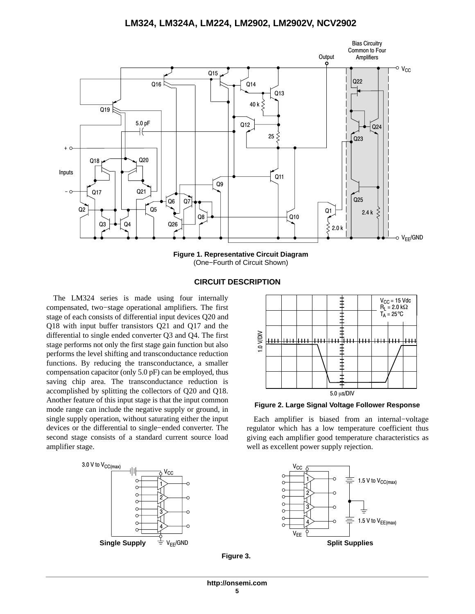

**Figure 1. Representative Circuit Diagram** (One−Fourth of Circuit Shown)

### **CIRCUIT DESCRIPTION**

The LM324 series is made using four internally compensated, two−stage operational amplifiers. The first stage of each consists of differential input devices Q20 and Q18 with input buffer transistors Q21 and Q17 and the differential to single ended converter Q3 and Q4. The first stage performs not only the first stage gain function but also performs the level shifting and transconductance reduction functions. By reducing the transconductance, a smaller compensation capacitor (only 5.0 pF) can be employed, thus saving chip area. The transconductance reduction is accomplished by splitting the collectors of Q20 and Q18. Another feature of this input stage is that the input common mode range can include the negative supply or ground, in single supply operation, without saturating either the input devices or the differential to single−ended converter. The second stage consists of a standard current source load amplifier stage.





**Figure 2. Large Signal Voltage Follower Response**

Each amplifier is biased from an internal−voltage regulator which has a low temperature coefficient thus giving each amplifier good temperature characteristics as well as excellent power supply rejection.



**Figure 3.**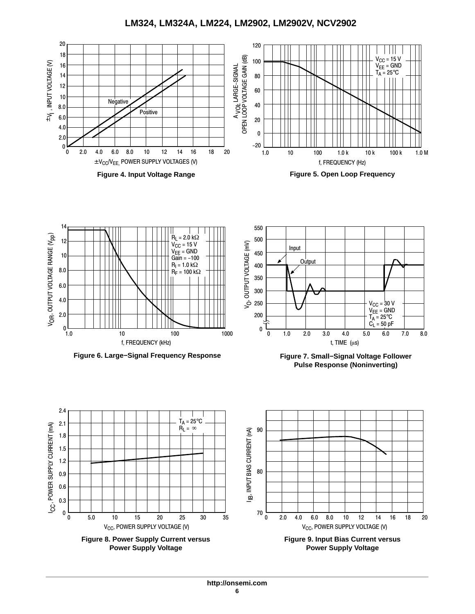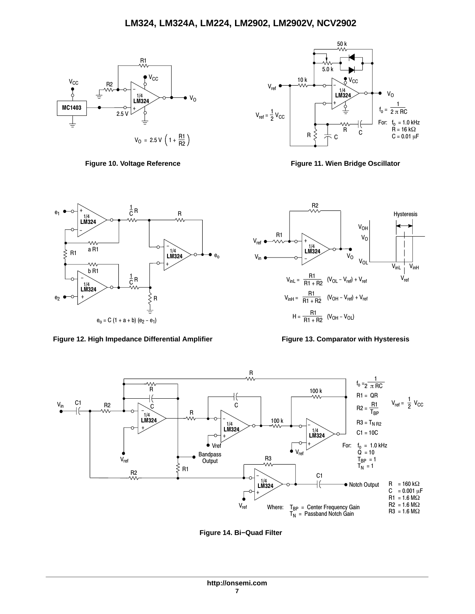



**Figure 10. Voltage Reference Figure 11. Wien Bridge Oscillator**



Figure 12. High Impedance Differential Amplifier Figure 13. Comparator with Hysteresis





**Figure 14. Bi−Quad Filter**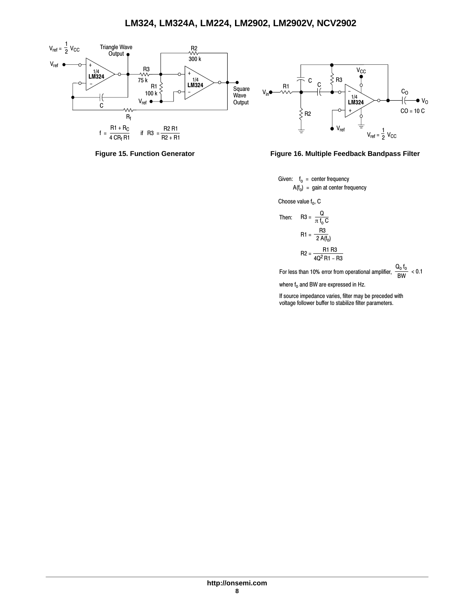





Given:  $f_0 =$  center frequency  $A(f_0) = gain$  at center frequency

Choose value  $f_0$ , C

Then: R3 = 
$$
\frac{Q}{\pi f_0 C}
$$
  
R1 =  $\frac{R3}{2 A(f_0)}$   
R2 =  $\frac{R1 R3}{4 Q^2 R1 - R3}$ 

For less than 10% error from operational amplifier,  $\frac{\mathsf{Q_0}\mathsf{f_0}}{\mathsf{BW}}$  < 0.1

where  $f_0$  and BW are expressed in Hz.

If source impedance varies, filter may be preceded with voltage follower buffer to stabilize filter parameters.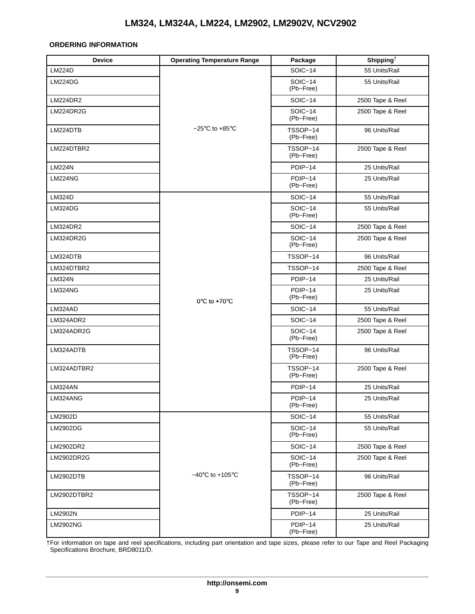#### <span id="page-8-0"></span>**ORDERING INFORMATION**

| <b>Device</b>  | <b>Operating Temperature Range</b>  | Package                | Shipping <sup><math>\dagger</math></sup> |
|----------------|-------------------------------------|------------------------|------------------------------------------|
| <b>LM224D</b>  |                                     | <b>SOIC-14</b>         | 55 Units/Rail                            |
| LM224DG        |                                     | SOIC-14<br>(Pb-Free)   | 55 Units/Rail                            |
| LM224DR2       |                                     | $SOIC-14$              | 2500 Tape & Reel                         |
| LM224DR2G      |                                     | $SOIC-14$<br>(Pb-Free) | 2500 Tape & Reel                         |
| LM224DTB       | $-25^{\circ}$ C to +85 $^{\circ}$ C | TSSOP-14<br>(Pb-Free)  | 96 Units/Rail                            |
| LM224DTBR2     |                                     | TSSOP-14<br>(Pb-Free)  | 2500 Tape & Reel                         |
| <b>LM224N</b>  |                                     | PDIP-14                | 25 Units/Rail                            |
| <b>LM224NG</b> |                                     | PDIP-14<br>(Pb-Free)   | 25 Units/Rail                            |
| LM324D         |                                     | SOIC-14                | 55 Units/Rail                            |
| LM324DG        |                                     | SOIC-14<br>(Pb-Free)   | 55 Units/Rail                            |
| LM324DR2       |                                     | SOIC-14                | 2500 Tape & Reel                         |
| LM324DR2G      |                                     | $SOIC-14$<br>(Pb-Free) | 2500 Tape & Reel                         |
| LM324DTB       |                                     | TSSOP-14               | 96 Units/Rail                            |
| LM324DTBR2     |                                     | TSSOP-14               | 2500 Tape & Reel                         |
| <b>LM324N</b>  |                                     | PDIP-14                | 25 Units/Rail                            |
| <b>LM324NG</b> | $0^{\circ}$ C to +70 $^{\circ}$ C   | PDIP-14<br>(Pb-Free)   | 25 Units/Rail                            |
| LM324AD        |                                     | SOIC-14                | 55 Units/Rail                            |
| LM324ADR2      |                                     | SOIC-14                | 2500 Tape & Reel                         |
| LM324ADR2G     |                                     | SOIC-14<br>(Pb-Free)   | 2500 Tape & Reel                         |
| LM324ADTB      |                                     | TSSOP-14<br>(Pb-Free)  | 96 Units/Rail                            |
| LM324ADTBR2    |                                     | TSSOP-14<br>(Pb-Free)  | 2500 Tape & Reel                         |
| LM324AN        |                                     | PDIP-14                | 25 Units/Rail                            |
| LM324ANG       |                                     | PDIP-14<br>(Pb-Free)   | 25 Units/Rail                            |
| LM2902D        |                                     | SOIC-14                | 55 Units/Rail                            |
| LM2902DG       |                                     | SOIC-14<br>(Pb-Free)   | 55 Units/Rail                            |
| LM2902DR2      |                                     | SOIC-14                | 2500 Tape & Reel                         |
| LM2902DR2G     |                                     | SOIC-14<br>(Pb-Free)   | 2500 Tape & Reel                         |
| LM2902DTB      | $-40^{\circ}$ C to $+105^{\circ}$ C | TSSOP-14<br>(Pb-Free)  | 96 Units/Rail                            |
| LM2902DTBR2    |                                     | TSSOP-14<br>(Pb-Free)  | 2500 Tape & Reel                         |
| LM2902N        |                                     | PDIP-14                | 25 Units/Rail                            |
| LM2902NG       |                                     | PDIP-14<br>(Pb-Free)   | 25 Units/Rail                            |

†For information on tape and reel specifications, including part orientation and tape sizes, please refer to our Tape and Reel Packaging Specifications Brochure, BRD8011/D.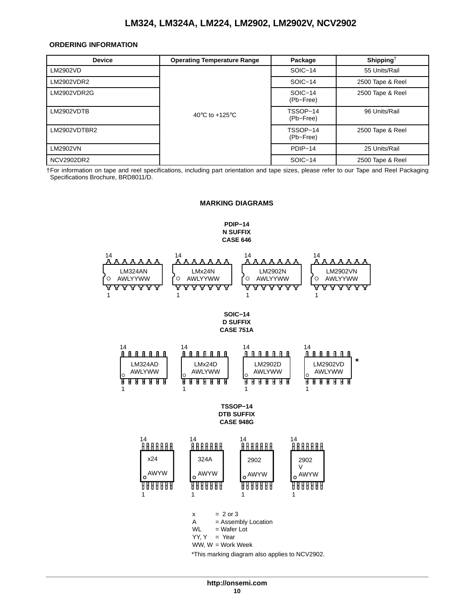#### <span id="page-9-0"></span>**ORDERING INFORMATION**

| <b>Device</b>     | <b>Operating Temperature Range</b>                   | Package               | Shipping <sup>†</sup> |
|-------------------|------------------------------------------------------|-----------------------|-----------------------|
| LM2902VD          |                                                      | SOIC-14               | 55 Units/Rail         |
| LM2902VDR2        |                                                      | SOIC-14               | 2500 Tape & Reel      |
| LM2902VDR2G       |                                                      | SOIC-14<br>(Pb-Free)  | 2500 Tape & Reel      |
| LM2902VDTB        | 40 $\mathrm{^{\circ}C}$ to +125 $\mathrm{^{\circ}C}$ | TSSOP-14<br>(Pb-Free) | 96 Units/Rail         |
| LM2902VDTBR2      |                                                      | TSSOP-14<br>(Pb-Free) | 2500 Tape & Reel      |
| LM2902VN          |                                                      | PDIP-14               | 25 Units/Rail         |
| <b>NCV2902DR2</b> |                                                      | SOIC-14               | 2500 Tape & Reel      |

†For information on tape and reel specifications, including part orientation and tape sizes, please refer to our Tape and Reel Packaging Specifications Brochure, BRD8011/D.

#### **MARKING DIAGRAMS**

**PDIP−14 N SUFFIX CASE 646**

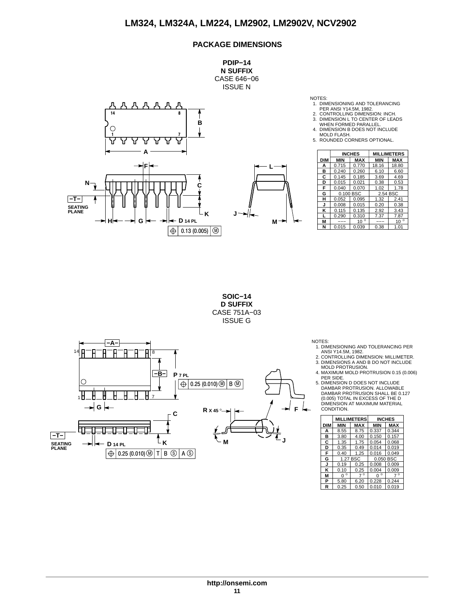## **PACKAGE DIMENSIONS**

**PDIP−14 N SUFFIX** CASE 646−06 ISSUE N



NOTES:

- 1. DIMENSIONING AND TOLERANCING<br>2. CONTROLLING DIMENSION: INCH.<br>2. CONTROLLING DIMENSION: INCH.<br>3. DIMENSION L TO CENTER OF LEADS<br>WHEN FORMED PARALLEL.<br>4. DIMENSION B DOES NOT INCLUDE
- 
- MOLD FLASH. 5. ROUNDED CORNERS OPTIONAL.

|   |            |            | <b>INCHES</b> |            | <b>MILLIMETERS</b> |
|---|------------|------------|---------------|------------|--------------------|
|   | <b>DIM</b> | <b>MIN</b> | <b>MAX</b>    | <b>MIN</b> | <b>MAX</b>         |
|   | А          | 0.715      | 0.770         | 18.16      | 18.80              |
|   | в          | 0.240      | 0.260         | 6.10       | 6.60               |
|   | С          | 0.145      | 0.185         | 3.69       | 4.69               |
|   | D          | 0.015      | 0.021         | 0.38       | 0.53               |
|   | F          | 0.040      | 0.070         | 1.02       | 1.78               |
|   | G          |            | 0.100 BSC     | 2.54 BSC   |                    |
|   | н          | 0.052      | 0.095         | 1.32       | 2.41               |
|   | J          | 0.008      | 0.015         | 0.20       | 0.38               |
|   | κ          | 0.115      | 0.135         | 2.92       | 3.43               |
|   |            | 0.290      | 0.310         | 7.37       | 7.87               |
| м | M          | ---        | $10^{\circ}$  | ---        | $10^{\circ}$       |
|   | N          | 0.015      | 0.039         | 0.38       | 1.01               |

**SOIC−14 D SUFFIX** CASE 751A−03 ISSUE G



NOTES: 1. DIMENSIONING AND TOLERANCING PER ANSI Y14.5M, 1982. 2. CONTROLLING DIMENSION: MILLIMETER.

3. DIMENSIONS A AND B DO NOT INCLUDE MOLD PROTRUSION.

4. MAXIMUM MOLD PROTRUSION 0.15 (0.006)

PER SIDE. 5. DIMENSION D DOES NOT INCLUDE DAMBAR PROTRUSION. ALLOWABLE DAMBAR PROTRUSION SHALL BE 0.127 (0.005) TOTAL IN EXCESS OF THE D DIMENSION AT MAXIMUM MATERIAL CONDITION.

|            |              | <b>MILLIMETERS</b> |              | <b>INCHES</b> |
|------------|--------------|--------------------|--------------|---------------|
| <b>DIM</b> | <b>MIN</b>   | <b>MAX</b>         | <b>MIN</b>   | <b>MAX</b>    |
| А          | 8.55         | 8.75               | 0.337        | 0.344         |
| в          | 3.80         | 4.00               | 0.150        | 0.157         |
| С          | 1.35         | 1.75               | 0.054        | 0.068         |
| D          | 0.35         | 0.49               | 0.014        | 0.019         |
| F          | 0.40         | 1.25               | 0.016        | 0.049         |
| G          |              | 1.27 BSC           |              | 0.050 BSC     |
| J          | 0.19         | 0.25               | 0.008        | 0.009         |
| κ          | 0.10         | 0.25               | 0.004        | 0.009         |
| М          | $\circ$<br>n | $\circ$            | $\circ$<br>n | $\circ$       |
| Р          | 5.80         | 6.20               | 0.228        | 0.244         |
| R          | 0.25         | 0.50               | 0.010        | 0.019         |